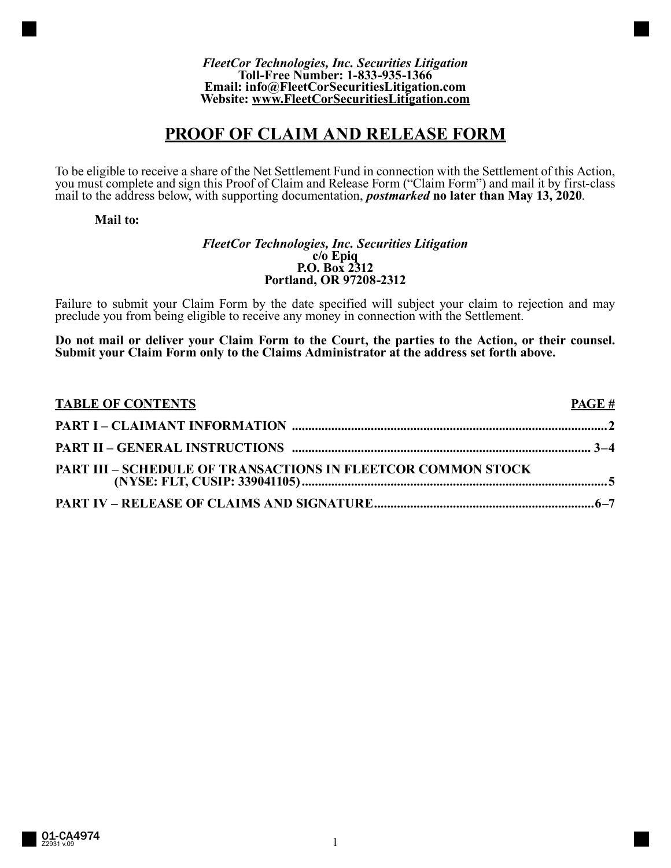#### *FleetCor Technologies, Inc. Securities Litigation* **Toll-Free Number: 1-833-935-1366 Email: info@FleetCorSecuritiesLitigation.com Website: www.FleetCorSecuritiesLitigation.com**

# **PROOF OF CLAIM AND RELEASE FORM**

To be eligible to receive a share of the Net Settlement Fund in connection with the Settlement of this Action, you must complete and sign this Proof of Claim and Release Form ("Claim Form") and mail it by first-class mail to the address below, with supporting documentation, *postmarked* **no later than May 13, 2020**.

# **Mail to:**

#### *FleetCor Technologies, Inc. Securities Litigation* **c/o Epiq P.O. Box 2312 Portland, OR 97208-2312**

Failure to submit your Claim Form by the date specified will subject your claim to rejection and may preclude you from being eligible to receive any money in connection with the Settlement.

**Do not mail or deliver your Claim Form to the Court, the parties to the Action, or their counsel. Submit your Claim Form only to the Claims Administrator at the address set forth above.**

| <b>TABLE OF CONTENTS</b>                                            | <b>PAGE</b> # |
|---------------------------------------------------------------------|---------------|
|                                                                     |               |
|                                                                     |               |
| <b>PART III - SCHEDULE OF TRANSACTIONS IN FLEETCOR COMMON STOCK</b> |               |
|                                                                     |               |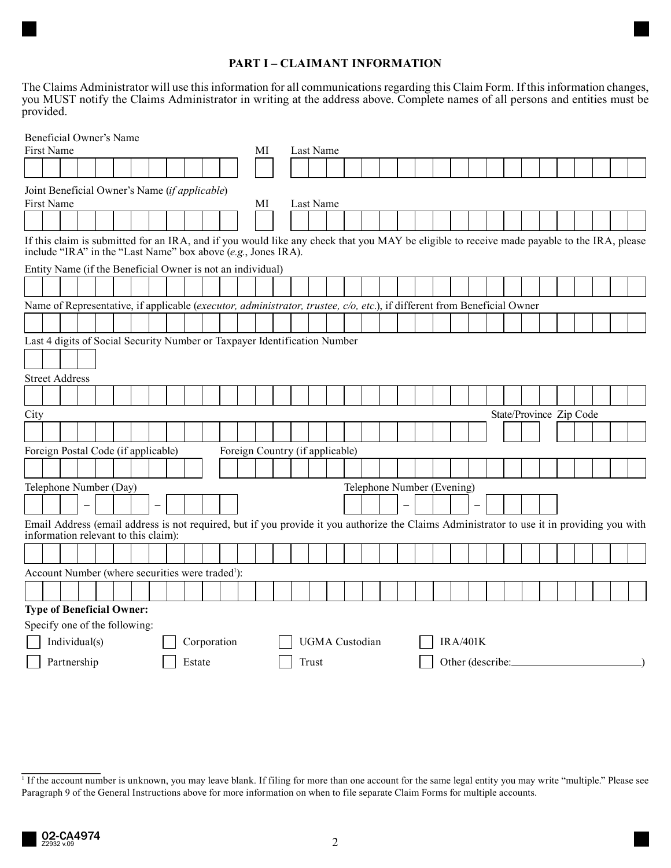# **PART I – CLAIMANT INFORMATION**

The Claims Administrator will use this information for all communications regarding this Claim Form. If this information changes, you MUST notify the Claims Administrator in writing at the address above. Complete names of all persons and entities must be provided.

|                       | Beneficial Owner's Name                                                                                                                                                                                                                                                   |               |  |  |  |       |  |    |  |           |             |                                 |                |           |  |  |  |  |                 |                            |  |  |  |  |  |  |  |  |                         |  |  |
|-----------------------|---------------------------------------------------------------------------------------------------------------------------------------------------------------------------------------------------------------------------------------------------------------------------|---------------|--|--|--|-------|--|----|--|-----------|-------------|---------------------------------|----------------|-----------|--|--|--|--|-----------------|----------------------------|--|--|--|--|--|--|--|--|-------------------------|--|--|
|                       | <b>First Name</b>                                                                                                                                                                                                                                                         |               |  |  |  |       |  |    |  |           |             | МI                              |                | Last Name |  |  |  |  |                 |                            |  |  |  |  |  |  |  |  |                         |  |  |
|                       |                                                                                                                                                                                                                                                                           |               |  |  |  |       |  |    |  |           |             |                                 |                |           |  |  |  |  |                 |                            |  |  |  |  |  |  |  |  |                         |  |  |
|                       | Joint Beneficial Owner's Name (if applicable)                                                                                                                                                                                                                             |               |  |  |  |       |  |    |  |           |             |                                 |                |           |  |  |  |  |                 |                            |  |  |  |  |  |  |  |  |                         |  |  |
| First Name            |                                                                                                                                                                                                                                                                           |               |  |  |  |       |  | МI |  | Last Name |             |                                 |                |           |  |  |  |  |                 |                            |  |  |  |  |  |  |  |  |                         |  |  |
|                       |                                                                                                                                                                                                                                                                           |               |  |  |  |       |  |    |  |           |             |                                 |                |           |  |  |  |  |                 |                            |  |  |  |  |  |  |  |  |                         |  |  |
|                       | If this claim is submitted for an IRA, and if you would like any check that you MAY be eligible to receive made payable to the IRA, please<br>include "IRA" in the "Last Name" box above (e.g., Jones IRA).<br>Entity Name (if the Beneficial Owner is not an individual) |               |  |  |  |       |  |    |  |           |             |                                 |                |           |  |  |  |  |                 |                            |  |  |  |  |  |  |  |  |                         |  |  |
|                       |                                                                                                                                                                                                                                                                           |               |  |  |  |       |  |    |  |           |             |                                 |                |           |  |  |  |  |                 |                            |  |  |  |  |  |  |  |  |                         |  |  |
|                       |                                                                                                                                                                                                                                                                           |               |  |  |  |       |  |    |  |           |             |                                 |                |           |  |  |  |  |                 |                            |  |  |  |  |  |  |  |  |                         |  |  |
|                       | Name of Representative, if applicable (executor, administrator, trustee, c/o, etc.), if different from Beneficial Owner                                                                                                                                                   |               |  |  |  |       |  |    |  |           |             |                                 |                |           |  |  |  |  |                 |                            |  |  |  |  |  |  |  |  |                         |  |  |
|                       |                                                                                                                                                                                                                                                                           |               |  |  |  |       |  |    |  |           |             |                                 |                |           |  |  |  |  |                 |                            |  |  |  |  |  |  |  |  |                         |  |  |
|                       | Last 4 digits of Social Security Number or Taxpayer Identification Number                                                                                                                                                                                                 |               |  |  |  |       |  |    |  |           |             |                                 |                |           |  |  |  |  |                 |                            |  |  |  |  |  |  |  |  |                         |  |  |
|                       |                                                                                                                                                                                                                                                                           |               |  |  |  |       |  |    |  |           |             |                                 |                |           |  |  |  |  |                 |                            |  |  |  |  |  |  |  |  |                         |  |  |
|                       | <b>Street Address</b>                                                                                                                                                                                                                                                     |               |  |  |  |       |  |    |  |           |             |                                 |                |           |  |  |  |  |                 |                            |  |  |  |  |  |  |  |  |                         |  |  |
|                       |                                                                                                                                                                                                                                                                           |               |  |  |  |       |  |    |  |           |             |                                 |                |           |  |  |  |  |                 |                            |  |  |  |  |  |  |  |  |                         |  |  |
| City                  |                                                                                                                                                                                                                                                                           |               |  |  |  |       |  |    |  |           |             |                                 |                |           |  |  |  |  |                 |                            |  |  |  |  |  |  |  |  | State/Province Zip Code |  |  |
|                       |                                                                                                                                                                                                                                                                           |               |  |  |  |       |  |    |  |           |             |                                 |                |           |  |  |  |  |                 |                            |  |  |  |  |  |  |  |  |                         |  |  |
|                       |                                                                                                                                                                                                                                                                           |               |  |  |  |       |  |    |  |           |             |                                 |                |           |  |  |  |  |                 |                            |  |  |  |  |  |  |  |  |                         |  |  |
|                       | Foreign Postal Code (if applicable)                                                                                                                                                                                                                                       |               |  |  |  |       |  |    |  |           |             | Foreign Country (if applicable) |                |           |  |  |  |  |                 |                            |  |  |  |  |  |  |  |  |                         |  |  |
|                       |                                                                                                                                                                                                                                                                           |               |  |  |  |       |  |    |  |           |             |                                 |                |           |  |  |  |  |                 |                            |  |  |  |  |  |  |  |  |                         |  |  |
|                       | Telephone Number (Day)                                                                                                                                                                                                                                                    |               |  |  |  |       |  |    |  |           |             |                                 |                |           |  |  |  |  |                 | Telephone Number (Evening) |  |  |  |  |  |  |  |  |                         |  |  |
|                       |                                                                                                                                                                                                                                                                           |               |  |  |  |       |  |    |  |           |             |                                 |                |           |  |  |  |  |                 |                            |  |  |  |  |  |  |  |  |                         |  |  |
|                       | Email Address (email address is not required, but if you provide it you authorize the Claims Administrator to use it in providing you with<br>information relevant to this claim):                                                                                        |               |  |  |  |       |  |    |  |           |             |                                 |                |           |  |  |  |  |                 |                            |  |  |  |  |  |  |  |  |                         |  |  |
|                       |                                                                                                                                                                                                                                                                           |               |  |  |  |       |  |    |  |           |             |                                 |                |           |  |  |  |  |                 |                            |  |  |  |  |  |  |  |  |                         |  |  |
|                       | Account Number (where securities were traded <sup>1</sup> ):                                                                                                                                                                                                              |               |  |  |  |       |  |    |  |           |             |                                 |                |           |  |  |  |  |                 |                            |  |  |  |  |  |  |  |  |                         |  |  |
|                       |                                                                                                                                                                                                                                                                           |               |  |  |  |       |  |    |  |           |             |                                 |                |           |  |  |  |  |                 |                            |  |  |  |  |  |  |  |  |                         |  |  |
|                       | <b>Type of Beneficial Owner:</b>                                                                                                                                                                                                                                          |               |  |  |  |       |  |    |  |           |             |                                 |                |           |  |  |  |  |                 |                            |  |  |  |  |  |  |  |  |                         |  |  |
|                       | Specify one of the following:                                                                                                                                                                                                                                             |               |  |  |  |       |  |    |  |           |             |                                 |                |           |  |  |  |  |                 |                            |  |  |  |  |  |  |  |  |                         |  |  |
|                       |                                                                                                                                                                                                                                                                           | Individual(s) |  |  |  |       |  |    |  |           | Corporation |                                 | UGMA Custodian |           |  |  |  |  | <b>IRA/401K</b> |                            |  |  |  |  |  |  |  |  |                         |  |  |
| Partnership<br>Estate |                                                                                                                                                                                                                                                                           |               |  |  |  | Trust |  |    |  |           |             | Other (describe:                |                |           |  |  |  |  |                 |                            |  |  |  |  |  |  |  |  |                         |  |  |

<sup>&</sup>lt;sup>1</sup> If the account number is unknown, you may leave blank. If filing for more than one account for the same legal entity you may write "multiple." Please see Paragraph 9 of the General Instructions above for more information on when to file separate Claim Forms for multiple accounts.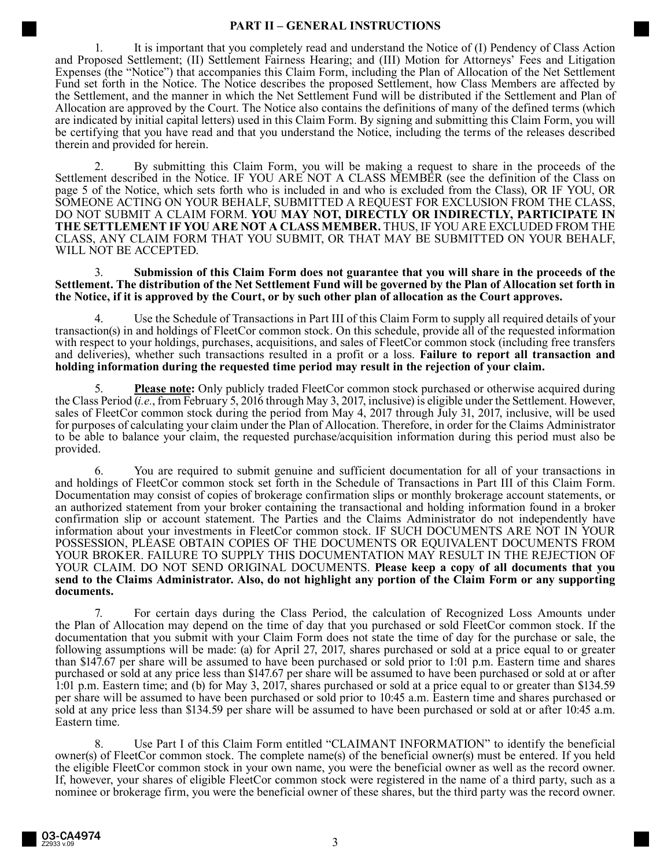## **PART II – GENERAL INSTRUCTIONS**

1. It is important that you completely read and understand the Notice of (I) Pendency of Class Action and Proposed Settlement; (II) Settlement Fairness Hearing; and (III) Motion for Attorneys' Fees and Litigation Expenses (the "Notice") that accompanies this Claim Form, including the Plan of Allocation of the Net Settlement Fund set forth in the Notice. The Notice describes the proposed Settlement, how Class Members are affected by the Settlement, and the manner in which the Net Settlement Fund will be distributed if the Settlement and Plan of Allocation are approved by the Court. The Notice also contains the definitions of many of the defined terms (which are indicated by initial capital letters) used in this Claim Form. By signing and submitting this Claim Form, you will be certifying that you have read and that you understand the Notice, including the terms of the releases described therein and provided for herein.

2. By submitting this Claim Form, you will be making a request to share in the proceeds of the Settlement described in the Notice. IF YOU ARE NOT A CLASS MEMBER (see the definition of the Class on page 5 of the Notice, which sets forth who is included in and who is excluded from the Class), OR IF YOU, OR SOMEONE ACTING ON YOUR BEHALF, SUBMITTED A REQUEST FOR EXCLUSION FROM THE CLASS, DO NOT SUBMIT A CLAIM FORM. **YOU MAY NOT, DIRECTLY OR INDIRECTLY, PARTICIPATE IN THE SETTLEMENT IF YOU ARE NOT A CLASS MEMBER.** THUS, IF YOU ARE EXCLUDED FROM THE CLASS, ANY CLAIM FORM THAT YOU SUBMIT, OR THAT MAY BE SUBMITTED ON YOUR BEHALF, WILL NOT BE ACCEPTED.

3. **Submission of this Claim Form does not guarantee that you will share in the proceeds of the Settlement. The distribution of the Net Settlement Fund will be governed by the Plan of Allocation set forth in the Notice, if it is approved by the Court, or by such other plan of allocation as the Court approves.**

Use the Schedule of Transactions in Part III of this Claim Form to supply all required details of your transaction(s) in and holdings of FleetCor common stock. On this schedule, provide all of the requested information with respect to your holdings, purchases, acquisitions, and sales of FleetCor common stock (including free transfers and deliveries), whether such transactions resulted in a profit or a loss. **Failure to report all transaction and holding information during the requested time period may result in the rejection of your claim.**

**Please note:** Only publicly traded FleetCor common stock purchased or otherwise acquired during the Class Period (*i.e.*, from February 5, 2016 through May 3, 2017, inclusive) is eligible under the Settlement. However, sales of FleetCor common stock during the period from May 4, 2017 through July 31, 2017, inclusive, will be used for purposes of calculating your claim under the Plan of Allocation. Therefore, in order for the Claims Administrator to be able to balance your claim, the requested purchase/acquisition information during this period must also be provided.

6. You are required to submit genuine and sufficient documentation for all of your transactions in and holdings of FleetCor common stock set forth in the Schedule of Transactions in Part III of this Claim Form. Documentation may consist of copies of brokerage confirmation slips or monthly brokerage account statements, or an authorized statement from your broker containing the transactional and holding information found in a broker confirmation slip or account statement. The Parties and the Claims Administrator do not independently have information about your investments in FleetCor common stock. IF SUCH DOCUMENTS ARE NOT IN YOUR POSSESSION, PLEASE OBTAIN COPIES OF THE DOCUMENTS OR EQUIVALENT DOCUMENTS FROM YOUR BROKER. FAILURE TO SUPPLY THIS DOCUMENTATION MAY RESULT IN THE REJECTION OF YOUR CLAIM. DO NOT SEND ORIGINAL DOCUMENTS. **Please keep a copy of all documents that you send to the Claims Administrator. Also, do not highlight any portion of the Claim Form or any supporting documents.**

7. For certain days during the Class Period, the calculation of Recognized Loss Amounts under the Plan of Allocation may depend on the time of day that you purchased or sold FleetCor common stock. If the documentation that you submit with your Claim Form does not state the time of day for the purchase or sale, the following assumptions will be made: (a) for April 27, 2017, shares purchased or sold at a price equal to or greater than \$147.67 per share will be assumed to have been purchased or sold prior to 1:01 p.m. Eastern time and shares purchased or sold at any price less than \$147.67 per share will be assumed to have been purchased or sold at or after 1:01 p.m. Eastern time; and (b) for May 3, 2017, shares purchased or sold at a price equal to or greater than \$134.59 per share will be assumed to have been purchased or sold prior to 10:45 a.m. Eastern time and shares purchased or sold at any price less than \$134.59 per share will be assumed to have been purchased or sold at or after 10:45 a.m. Eastern time.

8. Use Part I of this Claim Form entitled "CLAIMANT INFORMATION" to identify the beneficial owner(s) of FleetCor common stock. The complete name(s) of the beneficial owner(s) must be entered. If you held the eligible FleetCor common stock in your own name, you were the beneficial owner as well as the record owner. If, however, your shares of eligible FleetCor common stock were registered in the name of a third party, such as a nominee or brokerage firm, you were the beneficial owner of these shares, but the third party was the record owner.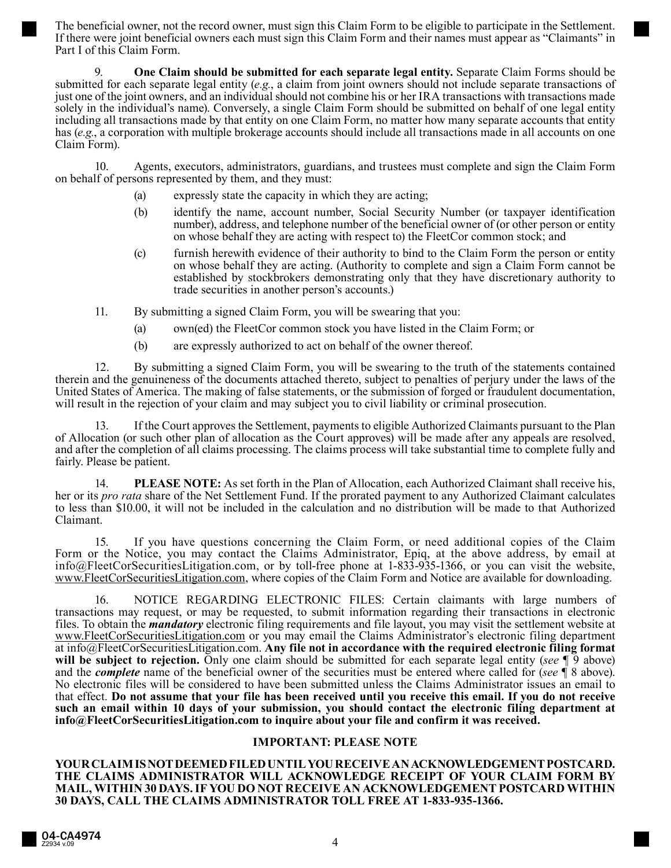The beneficial owner, not the record owner, must sign this Claim Form to be eligible to participate in the Settlement. If there were joint beneficial owners each must sign this Claim Form and their names must appear as "Claimants" in Part I of this Claim Form.

9. **One Claim should be submitted for each separate legal entity.** Separate Claim Forms should be submitted for each separate legal entity (*e.g.*, a claim from joint owners should not include separate transactions of just one of the joint owners, and an individual should not combine his or her IRA transactions with transactions made solely in the individual's name). Conversely, a single Claim Form should be submitted on behalf of one legal entity including all transactions made by that entity on one Claim Form, no matter how many separate accounts that entity has (*e.g.*, a corporation with multiple brokerage accounts should include all transactions made in all accounts on one Claim Form).

10. Agents, executors, administrators, guardians, and trustees must complete and sign the Claim Form on behalf of persons represented by them, and they must:

- (a) expressly state the capacity in which they are acting;
- (b) identify the name, account number, Social Security Number (or taxpayer identification number), address, and telephone number of the beneficial owner of (or other person or entity on whose behalf they are acting with respect to) the FleetCor common stock; and
- (c) furnish herewith evidence of their authority to bind to the Claim Form the person or entity on whose behalf they are acting. (Authority to complete and sign a Claim Form cannot be established by stockbrokers demonstrating only that they have discretionary authority to trade securities in another person's accounts.)

11. By submitting a signed Claim Form, you will be swearing that you:

- (a) own(ed) the FleetCor common stock you have listed in the Claim Form; or
- (b) are expressly authorized to act on behalf of the owner thereof.

12. By submitting a signed Claim Form, you will be swearing to the truth of the statements contained therein and the genuineness of the documents attached thereto, subject to penalties of perjury under the laws of the United States of America. The making of false statements, or the submission of forged or fraudulent documentation, will result in the rejection of your claim and may subject you to civil liability or criminal prosecution.

13. If the Court approves the Settlement, payments to eligible Authorized Claimants pursuant to the Plan of Allocation (or such other plan of allocation as the Court approves) will be made after any appeals are resolved, and after the completion of all claims processing. The claims process will take substantial time to complete fully and fairly. Please be patient.

14. **PLEASE NOTE:** As set forth in the Plan of Allocation, each Authorized Claimant shall receive his, her or its *pro rata* share of the Net Settlement Fund. If the prorated payment to any Authorized Claimant calculates to less than \$10.00, it will not be included in the calculation and no distribution will be made to that Authorized Claimant.

15. If you have questions concerning the Claim Form, or need additional copies of the Claim Form or the Notice, you may contact the Claims Administrator, Epiq, at the above address, by email at info@FleetCorSecuritiesLitigation.com, or by toll-free phone at 1-833-935-1366, or you can visit the website, www.FleetCorSecuritiesLitigation.com, where copies of the Claim Form and Notice are available for downloading.

16. NOTICE REGARDING ELECTRONIC FILES: Certain claimants with large numbers of transactions may request, or may be requested, to submit information regarding their transactions in electronic files. To obtain the *mandatory* electronic filing requirements and file layout, you may visit the settlement website at www.FleetCorSecuritiesLitigation.com or you may email the Claims Administrator's electronic filing department at info@FleetCorSecuritiesLitigation.com. **Any file not in accordance with the required electronic filing format will be subject to rejection.** Only one claim should be submitted for each separate legal entity (*see* ¶ 9 above) and the *complete* name of the beneficial owner of the securities must be entered where called for (*see* ¶ 8 above). No electronic files will be considered to have been submitted unless the Claims Administrator issues an email to that effect. **Do not assume that your file has been received until you receive this email. If you do not receive such an email within 10 days of your submission, you should contact the electronic filing department at info@FleetCorSecuritiesLitigation.com to inquire about your file and confirm it was received.**

## **IMPORTANT: PLEASE NOTE**

**YOUR CLAIM IS NOT DEEMED FILED UNTIL YOU RECEIVE AN ACKNOWLEDGEMENT POSTCARD. THE CLAIMS ADMINISTRATOR WILL ACKNOWLEDGE RECEIPT OF YOUR CLAIM FORM BY MAIL, WITHIN 30 DAYS. IF YOU DO NOT RECEIVE AN ACKNOWLEDGEMENT POSTCARD WITHIN 30 DAYS, CALL THE CLAIMS ADMINISTRATOR TOLL FREE AT 1-833-935-1366.**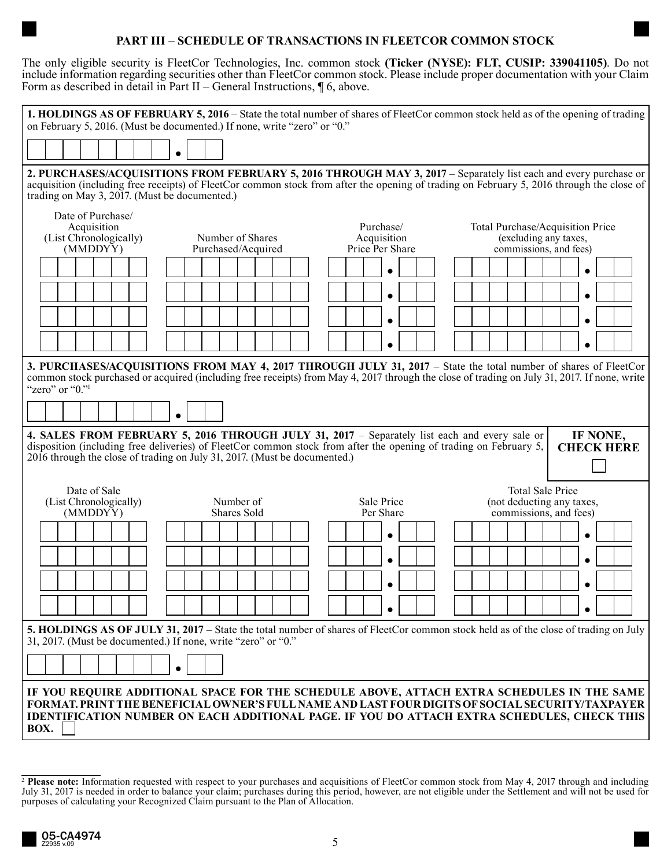## **PART III – SCHEDULE OF TRANSACTIONS IN FLEETCOR COMMON STOCK**

The only eligible security is FleetCor Technologies, Inc. common stock **(Ticker (NYSE): FLT, CUSIP: 339041105)**. Do not include information regarding securities other than FleetCor common stock. Please include proper documentation with your Claim Form as described in detail in Part II – General Instructions, ¶ 6, above.

| 1. HOLDINGS AS OF FEBRUARY 5, 2016 – State the total number of shares of FleetCor common stock held as of the opening of trading<br>on February 5, 2016. (Must be documented.) If none, write "zero" or "0."                                                                                                                     |                                             |                                                                                     |  |  |  |  |  |  |  |  |
|----------------------------------------------------------------------------------------------------------------------------------------------------------------------------------------------------------------------------------------------------------------------------------------------------------------------------------|---------------------------------------------|-------------------------------------------------------------------------------------|--|--|--|--|--|--|--|--|
|                                                                                                                                                                                                                                                                                                                                  |                                             |                                                                                     |  |  |  |  |  |  |  |  |
|                                                                                                                                                                                                                                                                                                                                  |                                             |                                                                                     |  |  |  |  |  |  |  |  |
| 2. PURCHASES/ACQUISITIONS FROM FEBRUARY 5, 2016 THROUGH MAY 3, 2017 – Separately list each and every purchase or<br>acquisition (including free receipts) of FleetCor common stock from after the opening of trading on February 5, 2016 through the close of<br>trading on May 3, 2017. (Must be documented.)                   |                                             |                                                                                     |  |  |  |  |  |  |  |  |
| Date of Purchase/<br>Acquisition<br>(List Chronologically)<br>Number of Shares                                                                                                                                                                                                                                                   | Purchase/<br>Acquisition<br>Price Per Share | Total Purchase/Acquisition Price<br>(excluding any taxes,<br>commissions, and fees) |  |  |  |  |  |  |  |  |
| Purchased/Acquired<br>(MMDDYY)                                                                                                                                                                                                                                                                                                   |                                             |                                                                                     |  |  |  |  |  |  |  |  |
|                                                                                                                                                                                                                                                                                                                                  |                                             |                                                                                     |  |  |  |  |  |  |  |  |
|                                                                                                                                                                                                                                                                                                                                  |                                             |                                                                                     |  |  |  |  |  |  |  |  |
|                                                                                                                                                                                                                                                                                                                                  |                                             |                                                                                     |  |  |  |  |  |  |  |  |
| 3. PURCHASES/ACQUISITIONS FROM MAY 4, 2017 THROUGH JULY 31, 2017 – State the total number of shares of FleetCor<br>common stock purchased or acquired (including free receipts) from May 4, 2017 through the close of trading on July 31, 2017. If none, write<br>"zero" or " $0$ ."                                             |                                             |                                                                                     |  |  |  |  |  |  |  |  |
| $\bullet$                                                                                                                                                                                                                                                                                                                        |                                             |                                                                                     |  |  |  |  |  |  |  |  |
| IF NONE,<br>4. SALES FROM FEBRUARY 5, 2016 THROUGH JULY 31, 2017 – Separately list each and every sale or<br>disposition (including free deliveries) of FleetCor common stock from after the opening of trading on February 5,<br><b>CHECK HERE</b><br>2016 through the close of trading on July 31, 2017. (Must be documented.) |                                             |                                                                                     |  |  |  |  |  |  |  |  |
| Date of Sale<br>(List Chronologically)<br>Number of<br>Shares Sold<br>(MMDDYY)                                                                                                                                                                                                                                                   | Sale Price<br>Per Share                     | <b>Total Sale Price</b><br>(not deducting any taxes,<br>commissions, and fees)      |  |  |  |  |  |  |  |  |
|                                                                                                                                                                                                                                                                                                                                  |                                             |                                                                                     |  |  |  |  |  |  |  |  |
|                                                                                                                                                                                                                                                                                                                                  |                                             |                                                                                     |  |  |  |  |  |  |  |  |
|                                                                                                                                                                                                                                                                                                                                  |                                             |                                                                                     |  |  |  |  |  |  |  |  |
|                                                                                                                                                                                                                                                                                                                                  |                                             |                                                                                     |  |  |  |  |  |  |  |  |
| 5. HOLDINGS AS OF JULY 31, 2017 – State the total number of shares of FleetCor common stock held as of the close of trading on July<br>31, 2017. (Must be documented.) If none, write "zero" or "0."                                                                                                                             |                                             |                                                                                     |  |  |  |  |  |  |  |  |
|                                                                                                                                                                                                                                                                                                                                  |                                             |                                                                                     |  |  |  |  |  |  |  |  |
| IF YOU REQUIRE ADDITIONAL SPACE FOR THE SCHEDULE ABOVE, ATTACH EXTRA SCHEDULES IN THE SAME<br>FORMAT. PRINT THE BENEFICIAL OWNER'S FULL NAME AND LAST FOUR DIGITS OF SOCIAL SECURITY/TAXPAYER<br><b>IDENTIFICATION NUMBER ON EACH ADDITIONAL PAGE. IF YOU DO ATTACH EXTRA SCHEDULES, CHECK THIS</b><br>BOX.                      |                                             |                                                                                     |  |  |  |  |  |  |  |  |

<sup>&</sup>lt;sup>2</sup> Please note: Information requested with respect to your purchases and acquisitions of FleetCor common stock from May 4, 2017 through and including July 31, 2017 is needed in order to balance your claim; purchases during this period, however, are not eligible under the Settlement and will not be used for purposes of calculating your Recognized Claim pursuant to the Plan of Allocation.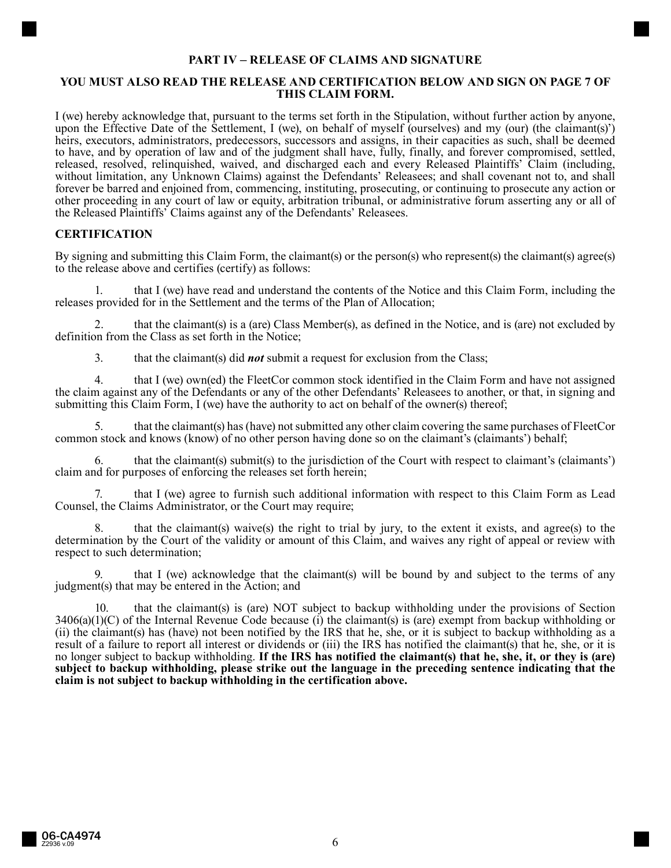## **PART IV – RELEASE OF CLAIMS AND SIGNATURE**

## **YOU MUST ALSO READ THE RELEASE AND CERTIFICATION BELOW AND SIGN ON PAGE 7 OF THIS CLAIM FORM.**

I (we) hereby acknowledge that, pursuant to the terms set forth in the Stipulation, without further action by anyone, upon the Effective Date of the Settlement, I (we), on behalf of myself (ourselves) and my (our) (the claimant(s)') heirs, executors, administrators, predecessors, successors and assigns, in their capacities as such, shall be deemed to have, and by operation of law and of the judgment shall have, fully, finally, and forever compromised, settled, released, resolved, relinquished, waived, and discharged each and every Released Plaintiffs' Claim (including, without limitation, any Unknown Claims) against the Defendants' Releasees; and shall covenant not to, and shall forever be barred and enjoined from, commencing, instituting, prosecuting, or continuing to prosecute any action or other proceeding in any court of law or equity, arbitration tribunal, or administrative forum asserting any or all of the Released Plaintiffs' Claims against any of the Defendants' Releasees.

## **CERTIFICATION**

By signing and submitting this Claim Form, the claimant(s) or the person(s) who represent(s) the claimant(s) agree(s) to the release above and certifies (certify) as follows:

1. that I (we) have read and understand the contents of the Notice and this Claim Form, including the releases provided for in the Settlement and the terms of the Plan of Allocation;

2. that the claimant(s) is a (are) Class Member(s), as defined in the Notice, and is (are) not excluded by definition from the Class as set forth in the Notice;

3. that the claimant(s) did *not* submit a request for exclusion from the Class;

4. that I (we) own(ed) the FleetCor common stock identified in the Claim Form and have not assigned the claim against any of the Defendants or any of the other Defendants' Releasees to another, or that, in signing and submitting this Claim Form, I (we) have the authority to act on behalf of the owner(s) thereof;

5. that the claimant(s) has (have) not submitted any other claim covering the same purchases of FleetCor common stock and knows (know) of no other person having done so on the claimant's (claimants') behalf;

that the claimant(s) submit(s) to the jurisdiction of the Court with respect to claimant's (claimants') claim and for purposes of enforcing the releases set forth herein;

7. that I (we) agree to furnish such additional information with respect to this Claim Form as Lead Counsel, the Claims Administrator, or the Court may require;

8. that the claimant(s) waive(s) the right to trial by jury, to the extent it exists, and agree(s) to the determination by the Court of the validity or amount of this Claim, and waives any right of appeal or review with respect to such determination;

that I (we) acknowledge that the claimant(s) will be bound by and subject to the terms of any judgment(s) that may be entered in the Action; and

10. that the claimant(s) is (are) NOT subject to backup withholding under the provisions of Section  $3406(a)(1)(C)$  of the Internal Revenue Code because (i) the claimant(s) is (are) exempt from backup withholding or (ii) the claimant(s) has (have) not been notified by the IRS that he, she, or it is subject to backup withholding as a result of a failure to report all interest or dividends or (iii) the IRS has notified the claimant(s) that he, she, or it is no longer subject to backup withholding. **If the IRS has notified the claimant(s) that he, she, it, or they is (are) subject to backup withholding, please strike out the language in the preceding sentence indicating that the claim is not subject to backup withholding in the certification above.**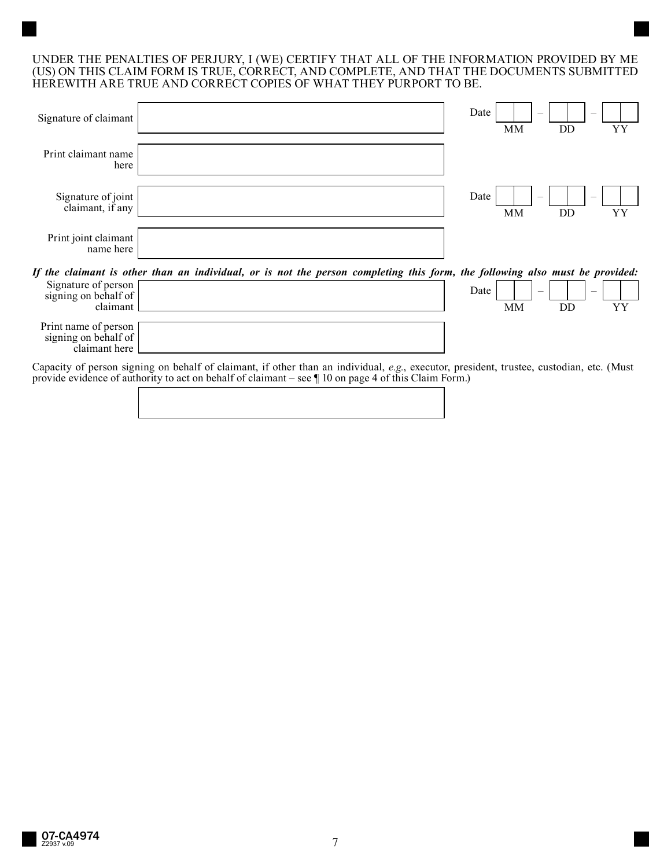## UNDER THE PENALTIES OF PERJURY, I (WE) CERTIFY THAT ALL OF THE INFORMATION PROVIDED BY ME (US) ON THIS CLAIM FORM IS TRUE, CORRECT, AND COMPLETE, AND THAT THE DOCUMENTS SUBMITTED HEREWITH ARE TRUE AND CORRECT COPIES OF WHAT THEY PURPORT TO BE.

| Signature of claimant                                   |                                                                                                                              | Date | MM                                    | DD                                    | YΥ |
|---------------------------------------------------------|------------------------------------------------------------------------------------------------------------------------------|------|---------------------------------------|---------------------------------------|----|
| Print claimant name<br>here                             |                                                                                                                              |      |                                       |                                       |    |
| Signature of joint<br>claimant, if any                  |                                                                                                                              | Date | MM                                    | DD                                    | YΥ |
| Print joint claimant<br>name here                       |                                                                                                                              |      |                                       |                                       |    |
|                                                         | If the claimant is other than an individual, or is not the person completing this form, the following also must be provided: |      |                                       |                                       |    |
| Signature of person<br>signing on behalf of<br>claimant |                                                                                                                              | Date | $\hspace{0.1mm}-\hspace{0.1mm}$<br>MM | $\hspace{0.1mm}-\hspace{0.1mm}$<br>DD | YΥ |

Capacity of person signing on behalf of claimant, if other than an individual, *e.g.*, executor, president, trustee, custodian, etc. (Must provide evidence of authority to act on behalf of claimant – see ¶ 10 on page 4 of this Claim Form.)

Print name of person signing on behalf of claimant here